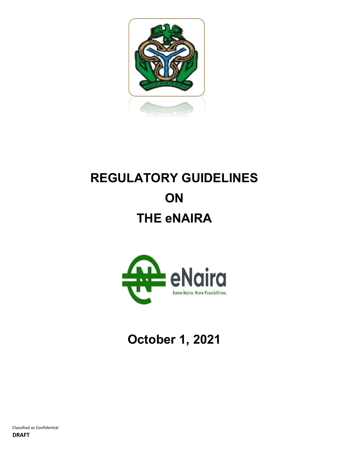

# **REGULATORY GUIDELINES ON THE eNAIRA**



**October 1, 2021**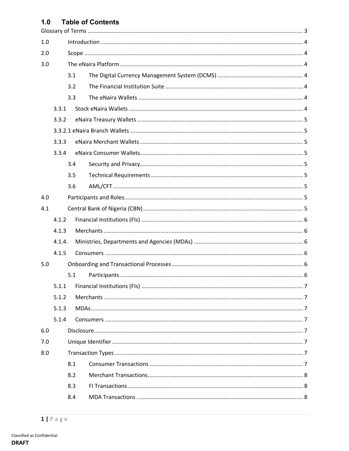#### $1.0$ **Table of Contents**

| 1.0 |        |     |  |  |  |
|-----|--------|-----|--|--|--|
| 2.0 |        |     |  |  |  |
| 3.0 |        |     |  |  |  |
|     |        | 3.1 |  |  |  |
|     |        | 3.2 |  |  |  |
|     |        | 3.3 |  |  |  |
|     | 3.3.1  |     |  |  |  |
|     | 3.3.2  |     |  |  |  |
|     |        |     |  |  |  |
|     | 3.3.3  |     |  |  |  |
|     | 3.3.4  |     |  |  |  |
|     |        | 3.4 |  |  |  |
|     |        | 3.5 |  |  |  |
|     |        | 3.6 |  |  |  |
| 4.0 |        |     |  |  |  |
| 4.1 |        |     |  |  |  |
|     | 4.1.2  |     |  |  |  |
|     | 4.1.3  |     |  |  |  |
|     | 4.1.4. |     |  |  |  |
|     | 4.1.5  |     |  |  |  |
| 5.0 |        |     |  |  |  |
|     |        | 5.1 |  |  |  |
|     | 5.1.1  |     |  |  |  |
|     | 5.1.2  |     |  |  |  |
|     | 5.1.3  |     |  |  |  |
|     | 5.1.4  |     |  |  |  |
| 6.0 |        |     |  |  |  |
| 7.0 |        |     |  |  |  |
| 8.0 |        |     |  |  |  |
|     |        | 8.1 |  |  |  |
|     |        | 8.2 |  |  |  |
|     |        | 8.3 |  |  |  |
|     |        | 8.4 |  |  |  |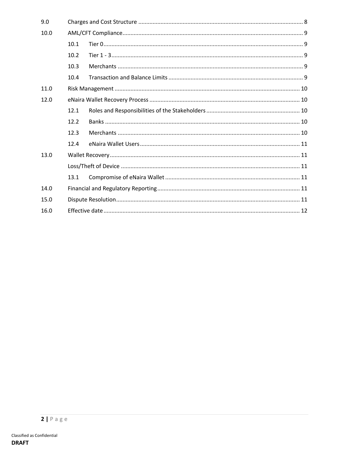| 9.0  |      |  |  |  |  |
|------|------|--|--|--|--|
| 10.0 |      |  |  |  |  |
|      | 10.1 |  |  |  |  |
|      | 10.2 |  |  |  |  |
|      | 10.3 |  |  |  |  |
|      | 10.4 |  |  |  |  |
| 11.0 |      |  |  |  |  |
| 12.0 |      |  |  |  |  |
|      | 12.1 |  |  |  |  |
|      | 12.2 |  |  |  |  |
|      | 12.3 |  |  |  |  |
|      | 12.4 |  |  |  |  |
| 13.0 |      |  |  |  |  |
|      |      |  |  |  |  |
|      | 13.1 |  |  |  |  |
| 14.0 |      |  |  |  |  |
| 15.0 |      |  |  |  |  |
| 16.0 |      |  |  |  |  |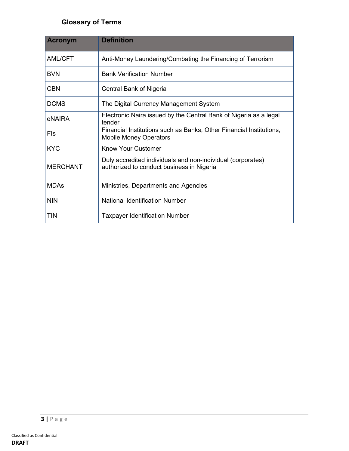# **Glossary of Terms**

| <b>Acronym</b>  | <b>Definition</b>                                                                                        |  |
|-----------------|----------------------------------------------------------------------------------------------------------|--|
| <b>AML/CFT</b>  | Anti-Money Laundering/Combating the Financing of Terrorism                                               |  |
| <b>BVN</b>      | <b>Bank Verification Number</b>                                                                          |  |
| <b>CBN</b>      | Central Bank of Nigeria                                                                                  |  |
| <b>DCMS</b>     | The Digital Currency Management System                                                                   |  |
| eNAIRA          | Electronic Naira issued by the Central Bank of Nigeria as a legal<br>tender                              |  |
| Fls             | Financial Institutions such as Banks, Other Financial Institutions,<br><b>Mobile Money Operators</b>     |  |
| <b>KYC</b>      | <b>Know Your Customer</b>                                                                                |  |
| <b>MERCHANT</b> | Duly accredited individuals and non-individual (corporates)<br>authorized to conduct business in Nigeria |  |
| <b>MDAs</b>     | Ministries, Departments and Agencies                                                                     |  |
| <b>NIN</b>      | National Identification Number                                                                           |  |
| <b>TIN</b>      | <b>Taxpayer Identification Number</b>                                                                    |  |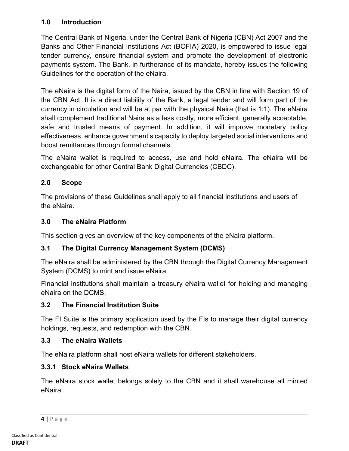# **1.0 Introduction**

The Central Bank of Nigeria, under the Central Bank of Nigeria (CBN) Act 2007 and the Banks and Other Financial Institutions Act (BOFIA) 2020, is empowered to issue legal tender currency, ensure financial system and promote the development of electronic payments system. The Bank, in furtherance of its mandate, hereby issues the following Guidelines for the operation of the eNaira.

The eNaira is the digital form of the Naira, issued by the CBN in line with Section 19 of the CBN Act. It is a direct liability of the Bank, a legal tender and will form part of the currency in circulation and will be at par with the physical Naira (that is 1:1). The eNaira shall complement traditional Naira as a less costly, more efficient, generally acceptable, safe and trusted means of payment. In addition, it will improve monetary policy effectiveness, enhance government's capacity to deploy targeted social interventions and boost remittances through formal channels.

The eNaira wallet is required to access, use and hold eNaira. The eNaira will be exchangeable for other Central Bank Digital Currencies (CBDC).

# **2.0 Scope**

The provisions of these Guidelines shall apply to all financial institutions and users of the eNaira.

#### **3.0 The eNaira Platform**

This section gives an overview of the key components of the eNaira platform.

# **3.1 The Digital Currency Management System (DCMS)**

The eNaira shall be administered by the CBN through the Digital Currency Management System (DCMS) to mint and issue eNaira.

Financial institutions shall maintain a treasury eNaira wallet for holding and managing eNaira on the DCMS.

#### **3.2 The Financial Institution Suite**

The FI Suite is the primary application used by the FIs to manage their digital currency holdings, requests, and redemption with the CBN.

#### **3.3 The eNaira Wallets**

The eNaira platform shall host eNaira wallets for different stakeholders.

# **3.3.1 Stock eNaira Wallets**

The eNaira stock wallet belongs solely to the CBN and it shall warehouse all minted eNaira.

**<sup>4</sup> |** Page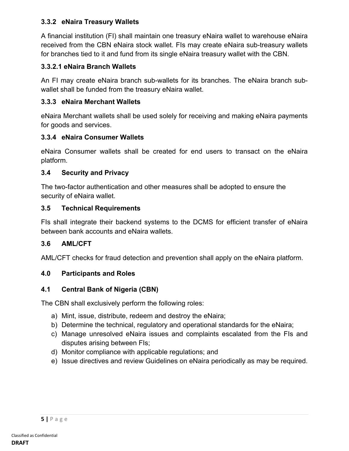#### **3.3.2 eNaira Treasury Wallets**

A financial institution (FI) shall maintain one treasury eNaira wallet to warehouse eNaira received from the CBN eNaira stock wallet. FIs may create eNaira sub-treasury wallets for branches tied to it and fund from its single eNaira treasury wallet with the CBN.

# **3.3.2.1 eNaira Branch Wallets**

An FI may create eNaira branch sub-wallets for its branches. The eNaira branch subwallet shall be funded from the treasury eNaira wallet.

### **3.3.3 eNaira Merchant Wallets**

eNaira Merchant wallets shall be used solely for receiving and making eNaira payments for goods and services.

### **3.3.4 eNaira Consumer Wallets**

eNaira Consumer wallets shall be created for end users to transact on the eNaira platform.

### **3.4 Security and Privacy**

The two-factor authentication and other measures shall be adopted to ensure the security of eNaira wallet.

#### **3.5 Technical Requirements**

FIs shall integrate their backend systems to the DCMS for efficient transfer of eNaira between bank accounts and eNaira wallets.

# **3.6 AML/CFT**

AML/CFT checks for fraud detection and prevention shall apply on the eNaira platform.

#### **4.0 Participants and Roles**

# **4.1 Central Bank of Nigeria (CBN)**

The CBN shall exclusively perform the following roles:

- a) Mint, issue, distribute, redeem and destroy the eNaira;
- b) Determine the technical, regulatory and operational standards for the eNaira;
- c) Manage unresolved eNaira issues and complaints escalated from the FIs and disputes arising between FIs;
- d) Monitor compliance with applicable regulations; and
- e) Issue directives and review Guidelines on eNaira periodically as may be required.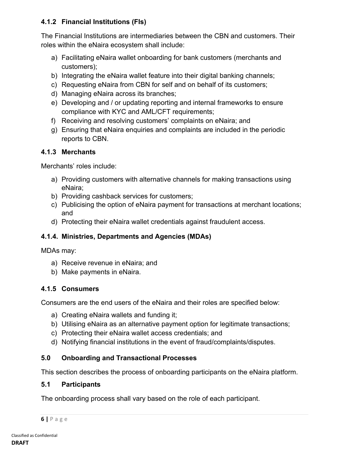# **4.1.2 Financial Institutions (FIs)**

The Financial Institutions are intermediaries between the CBN and customers. Their roles within the eNaira ecosystem shall include:

- a) Facilitating eNaira wallet onboarding for bank customers (merchants and customers);
- b) Integrating the eNaira wallet feature into their digital banking channels;
- c) Requesting eNaira from CBN for self and on behalf of its customers;
- d) Managing eNaira across its branches;
- e) Developing and / or updating reporting and internal frameworks to ensure compliance with KYC and AML/CFT requirements;
- f) Receiving and resolving customers' complaints on eNaira; and
- g) Ensuring that eNaira enquiries and complaints are included in the periodic reports to CBN.

# **4.1.3 Merchants**

Merchants' roles include:

- a) Providing customers with alternative channels for making transactions using eNaira;
- b) Providing cashback services for customers;
- c) Publicising the option of eNaira payment for transactions at merchant locations; and
- d) Protecting their eNaira wallet credentials against fraudulent access.

# **4.1.4. Ministries, Departments and Agencies (MDAs)**

MDAs may:

- a) Receive revenue in eNaira; and
- b) Make payments in eNaira.

# **4.1.5 Consumers**

Consumers are the end users of the eNaira and their roles are specified below:

- a) Creating eNaira wallets and funding it;
- b) Utilising eNaira as an alternative payment option for legitimate transactions;
- c) Protecting their eNaira wallet access credentials; and
- d) Notifying financial institutions in the event of fraud/complaints/disputes.

# **5.0 Onboarding and Transactional Processes**

This section describes the process of onboarding participants on the eNaira platform.

# **5.1 Participants**

The onboarding process shall vary based on the role of each participant.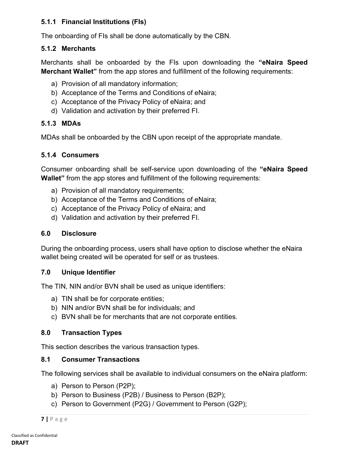# **5.1.1 Financial Institutions (FIs)**

The onboarding of FIs shall be done automatically by the CBN.

#### **5.1.2 Merchants**

Merchants shall be onboarded by the FIs upon downloading the **"eNaira Speed Merchant Wallet"** from the app stores and fulfillment of the following requirements:

- a) Provision of all mandatory information;
- b) Acceptance of the Terms and Conditions of eNaira;
- c) Acceptance of the Privacy Policy of eNaira; and
- d) Validation and activation by their preferred FI.

#### **5.1.3 MDAs**

MDAs shall be onboarded by the CBN upon receipt of the appropriate mandate.

#### **5.1.4 Consumers**

Consumer onboarding shall be self-service upon downloading of the **"eNaira Speed Wallet"** from the app stores and fulfillment of the following requirements:

- a) Provision of all mandatory requirements;
- b) Acceptance of the Terms and Conditions of eNaira;
- c) Acceptance of the Privacy Policy of eNaira; and
- d) Validation and activation by their preferred FI.

#### **6.0 Disclosure**

During the onboarding process, users shall have option to disclose whether the eNaira wallet being created will be operated for self or as trustees.

#### **7.0 Unique Identifier**

The TIN, NIN and/or BVN shall be used as unique identifiers:

- a) TIN shall be for corporate entities;
- b) NIN and/or BVN shall be for individuals; and
- c) BVN shall be for merchants that are not corporate entities.

#### **8.0 Transaction Types**

This section describes the various transaction types.

#### **8.1 Consumer Transactions**

The following services shall be available to individual consumers on the eNaira platform:

- a) Person to Person (P2P);
- b) Person to Business (P2B) / Business to Person (B2P);
- c) Person to Government (P2G) / Government to Person (G2P);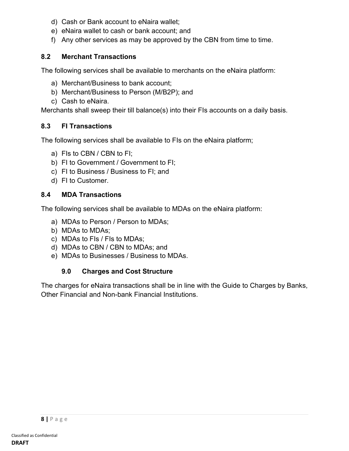- d) Cash or Bank account to eNaira wallet;
- e) eNaira wallet to cash or bank account; and
- f) Any other services as may be approved by the CBN from time to time.

# **8.2 Merchant Transactions**

The following services shall be available to merchants on the eNaira platform:

- a) Merchant/Business to bank account;
- b) Merchant/Business to Person (M/B2P); and
- c) Cash to eNaira.

Merchants shall sweep their till balance(s) into their FIs accounts on a daily basis.

### **8.3 FI Transactions**

The following services shall be available to FIs on the eNaira platform;

- a) FIs to CBN / CBN to FI;
- b) FI to Government / Government to FI;
- c) FI to Business / Business to FI; and
- d) FI to Customer.

### **8.4 MDA Transactions**

The following services shall be available to MDAs on the eNaira platform:

- a) MDAs to Person / Person to MDAs;
- b) MDAs to MDAs;
- c) MDAs to FIs / FIs to MDAs;
- d) MDAs to CBN / CBN to MDAs; and
- e) MDAs to Businesses / Business to MDAs.

# **9.0 Charges and Cost Structure**

The charges for eNaira transactions shall be in line with the Guide to Charges by Banks, Other Financial and Non-bank Financial Institutions.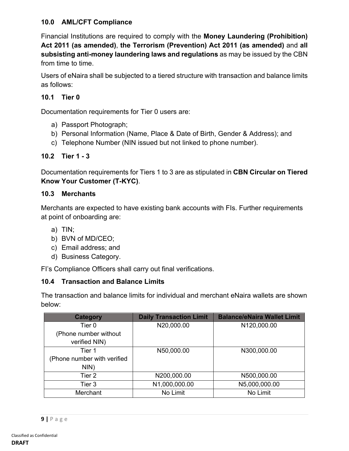#### **10.0 AML/CFT Compliance**

Financial Institutions are required to comply with the **Money Laundering (Prohibition) Act 2011 (as amended)**, **the Terrorism (Prevention) Act 2011 (as amended)** and **all subsisting anti-money laundering laws and regulations** as may be issued by the CBN from time to time.

Users of eNaira shall be subjected to a tiered structure with transaction and balance limits as follows:

# **10.1 Tier 0**

Documentation requirements for Tier 0 users are:

- a) Passport Photograph;
- b) Personal Information (Name, Place & Date of Birth, Gender & Address); and
- c) Telephone Number (NIN issued but not linked to phone number).

### **10.2 Tier 1 - 3**

Documentation requirements for Tiers 1 to 3 are as stipulated in **CBN Circular on Tiered Know Your Customer (T-KYC)**.

#### **10.3 Merchants**

Merchants are expected to have existing bank accounts with FIs. Further requirements at point of onboarding are:

- a) TIN;
- b) BVN of MD/CEO;
- c) Email address; and
- d) Business Category.

FI's Compliance Officers shall carry out final verifications.

#### **10.4 Transaction and Balance Limits**

The transaction and balance limits for individual and merchant eNaira wallets are shown below:

| <b>Category</b>             | <b>Daily Transaction Limit</b> | <b>Balance/eNaira Wallet Limit</b> |
|-----------------------------|--------------------------------|------------------------------------|
| Tier 0                      | N20,000.00                     | N120,000.00                        |
| (Phone number without       |                                |                                    |
| verified NIN)               |                                |                                    |
| Tier 1                      | N50,000.00                     | N300,000.00                        |
| (Phone number with verified |                                |                                    |
| NIN)                        |                                |                                    |
| Tier 2                      | N200,000.00                    | N500,000.00                        |
| Tier 3                      | N1,000,000.00                  | N5,000,000.00                      |
| Merchant                    | No Limit                       | No Limit                           |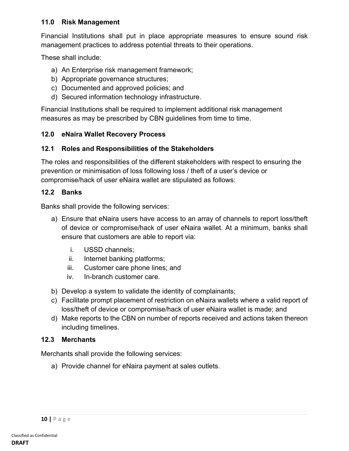#### **11.0 Risk Management**

Financial Institutions shall put in place appropriate measures to ensure sound risk management practices to address potential threats to their operations.

These shall include:

- a) An Enterprise risk management framework;
- b) Appropriate governance structures;
- c) Documented and approved policies; and
- d) Secured information technology infrastructure.

Financial Institutions shall be required to implement additional risk management measures as may be prescribed by CBN guidelines from time to time.

#### **12.0 eNaira Wallet Recovery Process**

### **12.1 Roles and Responsibilities of the Stakeholders**

The roles and responsibilities of the different stakeholders with respect to ensuring the prevention or minimisation of loss following loss / theft of a user's device or compromise/hack of user eNaira wallet are stipulated as follows:

#### **12.2 Banks**

Banks shall provide the following services:

- a) Ensure that eNaira users have access to an array of channels to report loss/theft of device or compromise/hack of user eNaira wallet. At a minimum, banks shall ensure that customers are able to report via:
	- i. USSD channels;
	- ii. Internet banking platforms;
	- iii. Customer care phone lines; and
	- iv. In-branch customer care.
- b) Develop a system to validate the identity of complainants;
- c) Facilitate prompt placement of restriction on eNaira wallets where a valid report of loss/theft of device or compromise/hack of user eNaira wallet is made; and
- d) Make reports to the CBN on number of reports received and actions taken thereon including timelines.

# **12.3 Merchants**

Merchants shall provide the following services:

a) Provide channel for eNaira payment at sales outlets.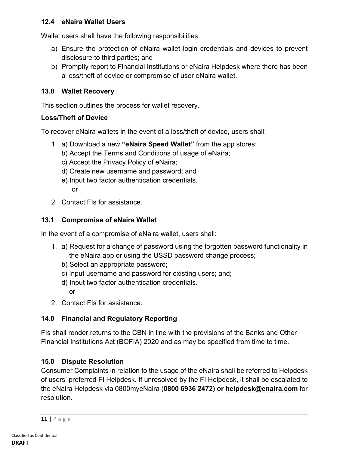#### **12.4 eNaira Wallet Users**

Wallet users shall have the following responsibilities:

- a) Ensure the protection of eNaira wallet login credentials and devices to prevent disclosure to third parties; and
- b) Promptly report to Financial Institutions or eNaira Helpdesk where there has been a loss/theft of device or compromise of user eNaira wallet.

#### **13.0 Wallet Recovery**

This section outlines the process for wallet recovery.

#### **Loss/Theft of Device**

To recover eNaira wallets in the event of a loss/theft of device, users shall:

- 1. a) Download a new **"eNaira Speed Wallet"** from the app stores;
	- b) Accept the Terms and Conditions of usage of eNaira;
	- c) Accept the Privacy Policy of eNaira;
	- d) Create new username and password; and
	- e) Input two factor authentication credentials. or
- 2. Contact FIs for assistance.

#### **13.1 Compromise of eNaira Wallet**

In the event of a compromise of eNaira wallet, users shall:

- 1. a) Request for a change of password using the forgotten password functionality in the eNaira app or using the USSD password change process;
	- b) Select an appropriate password;
	- c) Input username and password for existing users; and;
	- d) Input two factor authentication credentials.
		- or
- 2. Contact FIs for assistance.

#### **14.0 Financial and Regulatory Reporting**

FIs shall render returns to the CBN in line with the provisions of the Banks and Other Financial Institutions Act (BOFIA) 2020 and as may be specified from time to time.

#### **15.0 Dispute Resolution**

Consumer Complaints in relation to the usage of the eNaira shall be referred to Helpdesk of users' preferred FI Helpdesk. If unresolved by the FI Helpdesk, it shall be escalated to the eNaira Helpdesk via 0800myeNaira (**0800 6936 2472) or helpdesk@enaira.com** for resolution.